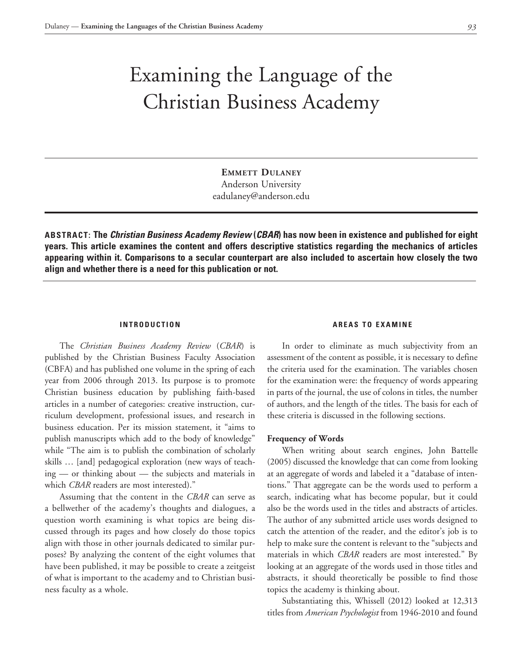# Examining the Language of the Christian Business Academy

**Emmett Dulaney** Anderson University eadulaney@anderson.edu

**ABSTRACT: The** *Christian Business Academy Review* **(***CBAR***) has now been in existence and published for eight years. This article examines the content and offers descriptive statistics regarding the mechanics of articles appearing within it. Comparisons to a secular counterpart are also included to ascertain how closely the two align and whether there is a need for this publication or not.**

## **INTRODUCTION**

The *Christian Business Academy Review* (*CBAR*) is published by the Christian Business Faculty Association (CBFA) and has published one volume in the spring of each year from 2006 through 2013. Its purpose is to promote Christian business education by publishing faith-based articles in a number of categories: creative instruction, curriculum development, professional issues, and research in business education. Per its mission statement, it "aims to publish manuscripts which add to the body of knowledge" while "The aim is to publish the combination of scholarly skills … [and] pedagogical exploration (new ways of teaching — or thinking about — the subjects and materials in which *CBAR* readers are most interested)."

Assuming that the content in the *CBAR* can serve as a bellwether of the academy's thoughts and dialogues, a question worth examining is what topics are being discussed through its pages and how closely do those topics align with those in other journals dedicated to similar purposes? By analyzing the content of the eight volumes that have been published, it may be possible to create a zeitgeist of what is important to the academy and to Christian business faculty as a whole.

## **AREAS TO EXAMINE**

In order to eliminate as much subjectivity from an assessment of the content as possible, it is necessary to define the criteria used for the examination. The variables chosen for the examination were: the frequency of words appearing in parts of the journal, the use of colons in titles, the number of authors, and the length of the titles. The basis for each of these criteria is discussed in the following sections.

#### **Frequency of Words**

When writing about search engines, John Battelle (2005) discussed the knowledge that can come from looking at an aggregate of words and labeled it a "database of intentions." That aggregate can be the words used to perform a search, indicating what has become popular, but it could also be the words used in the titles and abstracts of articles. The author of any submitted article uses words designed to catch the attention of the reader, and the editor's job is to help to make sure the content is relevant to the "subjects and materials in which *CBAR* readers are most interested." By looking at an aggregate of the words used in those titles and abstracts, it should theoretically be possible to find those topics the academy is thinking about.

Substantiating this, Whissell (2012) looked at 12,313 titles from *American Psychologist* from 1946-2010 and found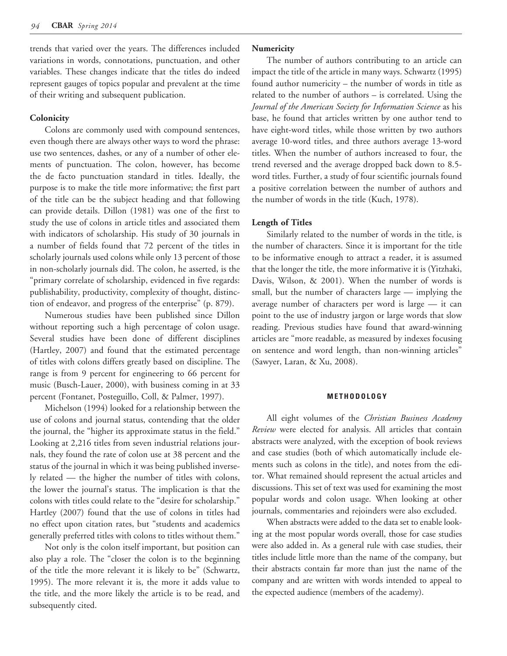trends that varied over the years. The differences included variations in words, connotations, punctuation, and other variables. These changes indicate that the titles do indeed represent gauges of topics popular and prevalent at the time of their writing and subsequent publication.

# **Colonicity**

Colons are commonly used with compound sentences, even though there are always other ways to word the phrase: use two sentences, dashes, or any of a number of other elements of punctuation. The colon, however, has become the de facto punctuation standard in titles. Ideally, the purpose is to make the title more informative; the first part of the title can be the subject heading and that following can provide details. Dillon (1981) was one of the first to study the use of colons in article titles and associated them with indicators of scholarship. His study of 30 journals in a number of fields found that 72 percent of the titles in scholarly journals used colons while only 13 percent of those in non-scholarly journals did. The colon, he asserted, is the "primary correlate of scholarship, evidenced in five regards: publishability, productivity, complexity of thought, distinction of endeavor, and progress of the enterprise" (p. 879).

Numerous studies have been published since Dillon without reporting such a high percentage of colon usage. Several studies have been done of different disciplines (Hartley, 2007) and found that the estimated percentage of titles with colons differs greatly based on discipline. The range is from 9 percent for engineering to 66 percent for music (Busch-Lauer, 2000), with business coming in at 33 percent (Fontanet, Posteguillo, Coll, & Palmer, 1997).

Michelson (1994) looked for a relationship between the use of colons and journal status, contending that the older the journal, the "higher its approximate status in the field." Looking at 2,216 titles from seven industrial relations journals, they found the rate of colon use at 38 percent and the status of the journal in which it was being published inversely related — the higher the number of titles with colons, the lower the journal's status. The implication is that the colons with titles could relate to the "desire for scholarship." Hartley (2007) found that the use of colons in titles had no effect upon citation rates, but "students and academics generally preferred titles with colons to titles without them."

Not only is the colon itself important, but position can also play a role. The "closer the colon is to the beginning of the title the more relevant it is likely to be" (Schwartz, 1995). The more relevant it is, the more it adds value to the title, and the more likely the article is to be read, and subsequently cited.

### **Numericity**

The number of authors contributing to an article can impact the title of the article in many ways. Schwartz (1995) found author numericity – the number of words in title as related to the number of authors – is correlated. Using the *Journal of the American Society for Information Science* as his base, he found that articles written by one author tend to have eight-word titles, while those written by two authors average 10-word titles, and three authors average 13-word titles. When the number of authors increased to four, the trend reversed and the average dropped back down to 8.5 word titles. Further, a study of four scientific journals found a positive correlation between the number of authors and the number of words in the title (Kuch, 1978).

# **Length of Titles**

Similarly related to the number of words in the title, is the number of characters. Since it is important for the title to be informative enough to attract a reader, it is assumed that the longer the title, the more informative it is (Yitzhaki, Davis, Wilson, & 2001). When the number of words is small, but the number of characters large — implying the average number of characters per word is large — it can point to the use of industry jargon or large words that slow reading. Previous studies have found that award-winning articles are "more readable, as measured by indexes focusing on sentence and word length, than non-winning articles" (Sawyer, Laran, & Xu, 2008).

## **METHODOLOGY**

All eight volumes of the *Christian Business Academy Review* were elected for analysis. All articles that contain abstracts were analyzed, with the exception of book reviews and case studies (both of which automatically include elements such as colons in the title), and notes from the editor. What remained should represent the actual articles and discussions. This set of text was used for examining the most popular words and colon usage. When looking at other journals, commentaries and rejoinders were also excluded.

When abstracts were added to the data set to enable looking at the most popular words overall, those for case studies were also added in. As a general rule with case studies, their titles include little more than the name of the company, but their abstracts contain far more than just the name of the company and are written with words intended to appeal to the expected audience (members of the academy).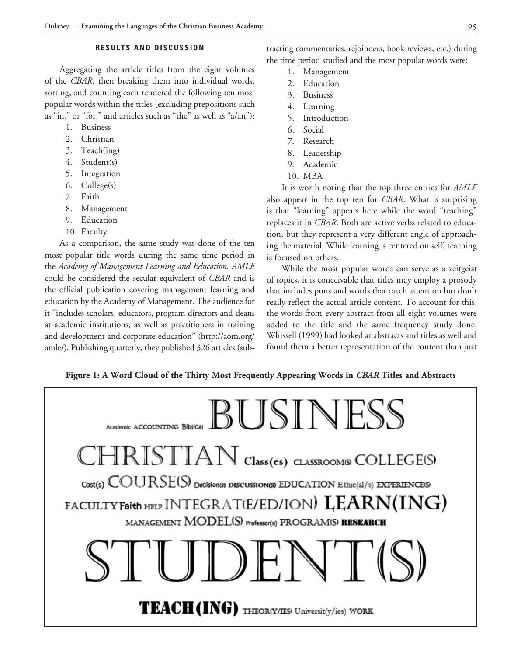## **RESULTS AND DISCUSSION**

Aggregating the article titles from the eight volumes of the *CBAR*, then breaking them into individual words, sorting, and counting each rendered the following ten most popular words within the titles (excluding prepositions such as "in," or "for," and articles such as "the" as well as "a/an"):

- 1. Business
- 2. Christian
- 3. Teach(ing)
- 4. Student(s)
- 5. Integration
- 6. College(s)
- 7. Faith
- 8. Management
- 9. Education
- 10. Faculty

As a comparison, the same study was done of the ten most popular title words during the same time period in the *Academy of Management Learning and Education*. *AMLE* could be considered the secular equivalent of *CBAR* and is the official publication covering management learning and education by the Academy of Management. The audience for it "includes scholars, educators, program directors and deans at academic institutions, as well as practitioners in training and development and corporate education" (http://aom.org/ amle/). Publishing quarterly, they published 326 articles (subtracting commentaries, rejoinders, book reviews, etc.) during the time period studied and the most popular words were:

- 1. Management
- 2. Education
- 3. Business
- 4. Learning
- 5. Introduction
- 6. Social
- 7. Research
- 8. Leadership
- 9. Academic
- 10. MBA

It is worth noting that the top three entries for *AMLE* also appear in the top ten for *CBAR*. What is surprising is that "learning" appears here while the word "teaching" replaces it in *CBAR*. Both are active verbs related to education, but they represent a very different angle of approaching the material. While learning is centered on self, teaching is focused on others.

While the most popular words can serve as a zeitgeist of topics, it is conceivable that titles may employ a prosody that includes puns and words that catch attention but don't really reflect the actual article content. To account for this, the words from every abstract from all eight volumes were added to the title and the same frequency study done. Whissell (1999) had looked at abstracts and titles as well and found them a better representation of the content than just

**Figure 1: A Word Cloud of the Thirty Most Frequently Appearing Words in** *CBAR* **Titles and Abstracts**

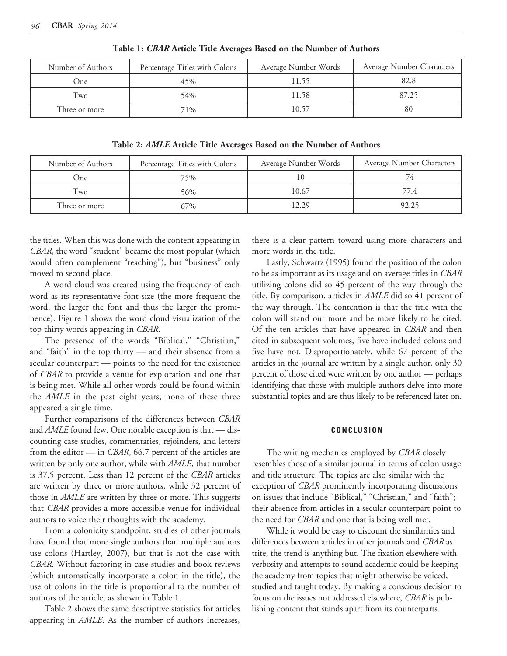| Number of Authors | Percentage Titles with Colons | Average Number Words | Average Number Characters |
|-------------------|-------------------------------|----------------------|---------------------------|
| One               | 45%                           | 11.55                | 82.8                      |
| Two               | 54%                           | 11.58                | 87.25                     |
| Three or more     | $71\%$                        | 10.57                | 80                        |

**Table 1:** *CBAR* **Article Title Averages Based on the Number of Authors**

**Table 2:** *AMLE* **Article Title Averages Based on the Number of Authors**

| Number of Authors | Percentage Titles with Colons | Average Number Words | Average Number Characters |
|-------------------|-------------------------------|----------------------|---------------------------|
| One               | 75%                           |                      |                           |
| Two               | 56%                           | 10.67                | 77.4                      |
| Three or more     | 67%                           | 12.29                | 92.25                     |

the titles. When this was done with the content appearing in *CBAR*, the word "student" became the most popular (which would often complement "teaching"), but "business" only moved to second place.

A word cloud was created using the frequency of each word as its representative font size (the more frequent the word, the larger the font and thus the larger the prominence). Figure 1 shows the word cloud visualization of the top thirty words appearing in *CBAR*.

The presence of the words "Biblical," "Christian," and "faith" in the top thirty — and their absence from a secular counterpart — points to the need for the existence of *CBAR* to provide a venue for exploration and one that is being met. While all other words could be found within the *AMLE* in the past eight years, none of these three appeared a single time.

Further comparisons of the differences between *CBAR* and *AMLE* found few. One notable exception is that — discounting case studies, commentaries, rejoinders, and letters from the editor — in *CBAR*, 66.7 percent of the articles are written by only one author, while with *AMLE*, that number is 37.5 percent. Less than 12 percent of the *CBAR* articles are written by three or more authors, while 32 percent of those in *AMLE* are written by three or more. This suggests that *CBAR* provides a more accessible venue for individual authors to voice their thoughts with the academy.

From a colonicity standpoint, studies of other journals have found that more single authors than multiple authors use colons (Hartley, 2007), but that is not the case with *CBAR*. Without factoring in case studies and book reviews (which automatically incorporate a colon in the title), the use of colons in the title is proportional to the number of authors of the article, as shown in Table 1.

Table 2 shows the same descriptive statistics for articles appearing in *AMLE*. As the number of authors increases,

there is a clear pattern toward using more characters and more words in the title.

Lastly, Schwartz (1995) found the position of the colon to be as important as its usage and on average titles in *CBAR* utilizing colons did so 45 percent of the way through the title. By comparison, articles in *AMLE* did so 41 percent of the way through. The contention is that the title with the colon will stand out more and be more likely to be cited. Of the ten articles that have appeared in *CBAR* and then cited in subsequent volumes, five have included colons and five have not. Disproportionately, while 67 percent of the articles in the journal are written by a single author, only 30 percent of those cited were written by one author — perhaps identifying that those with multiple authors delve into more substantial topics and are thus likely to be referenced later on.

#### **CONCLUSION**

The writing mechanics employed by *CBAR* closely resembles those of a similar journal in terms of colon usage and title structure. The topics are also similar with the exception of *CBAR* prominently incorporating discussions on issues that include "Biblical," "Christian," and "faith"; their absence from articles in a secular counterpart point to the need for *CBAR* and one that is being well met.

While it would be easy to discount the similarities and differences between articles in other journals and *CBAR* as trite, the trend is anything but. The fixation elsewhere with verbosity and attempts to sound academic could be keeping the academy from topics that might otherwise be voiced, studied and taught today. By making a conscious decision to focus on the issues not addressed elsewhere, *CBAR* is publishing content that stands apart from its counterparts.